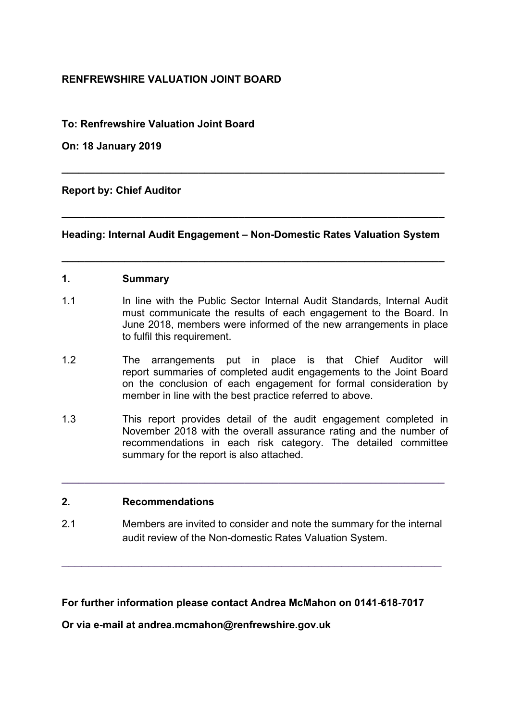### **RENFREWSHIRE VALUATION JOINT BOARD**

### **To: Renfrewshire Valuation Joint Board**

**On: 18 January 2019** 

**Report by: Chief Auditor** 

**Heading: Internal Audit Engagement – Non-Domestic Rates Valuation System** 

**\_\_\_\_\_\_\_\_\_\_\_\_\_\_\_\_\_\_\_\_\_\_\_\_\_\_\_\_\_\_\_\_\_\_\_\_\_\_\_\_\_\_\_\_\_\_\_\_\_\_\_\_\_\_\_\_\_\_\_\_\_\_\_\_\_\_\_** 

**\_\_\_\_\_\_\_\_\_\_\_\_\_\_\_\_\_\_\_\_\_\_\_\_\_\_\_\_\_\_\_\_\_\_\_\_\_\_\_\_\_\_\_\_\_\_\_\_\_\_\_\_\_\_\_\_\_\_\_\_\_\_\_\_\_\_\_** 

**\_\_\_\_\_\_\_\_\_\_\_\_\_\_\_\_\_\_\_\_\_\_\_\_\_\_\_\_\_\_\_\_\_\_\_\_\_\_\_\_\_\_\_\_\_\_\_\_\_\_\_\_\_\_\_\_\_\_\_\_\_\_\_\_\_\_\_** 

### **1. Summary**

- 1.1 In line with the Public Sector Internal Audit Standards, Internal Audit must communicate the results of each engagement to the Board. In June 2018, members were informed of the new arrangements in place to fulfil this requirement.
- 1.2 The arrangements put in place is that Chief Auditor will report summaries of completed audit engagements to the Joint Board on the conclusion of each engagement for formal consideration by member in line with the best practice referred to above.
- 1.3 This report provides detail of the audit engagement completed in November 2018 with the overall assurance rating and the number of recommendations in each risk category. The detailed committee summary for the report is also attached.

**\_\_\_\_\_\_\_\_\_\_\_\_\_\_\_\_\_\_\_\_\_\_\_\_\_\_\_\_\_\_\_\_\_\_\_\_\_\_\_\_\_\_\_\_\_\_\_\_\_\_\_\_\_\_\_\_\_\_\_\_\_\_\_\_\_\_\_** 

### **2. Recommendations**

2.1 Members are invited to consider and note the summary for the internal audit review of the Non-domestic Rates Valuation System.

\_\_\_\_\_\_\_\_\_\_\_\_\_\_\_\_\_\_\_\_\_\_\_\_\_\_\_\_\_\_\_\_\_\_\_\_\_\_\_\_\_\_\_\_\_\_\_\_\_\_\_\_\_\_\_\_\_

**For further information please contact Andrea McMahon on 0141-618-7017** 

**Or via e-mail at andrea.mcmahon@renfrewshire.gov.uk**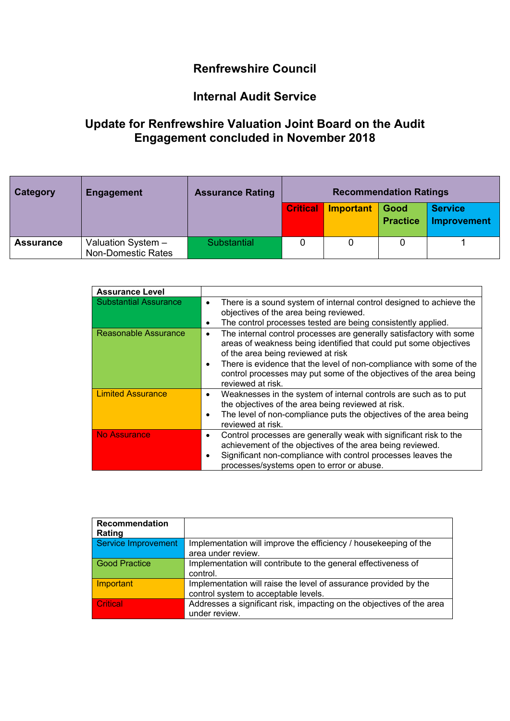## **Renfrewshire Council**

### **Internal Audit Service**

## **Update for Renfrewshire Valuation Joint Board on the Audit Engagement concluded in November 2018**

| Category         | <b>Engagement</b>                               | <b>Assurance Rating</b> | <b>Recommendation Ratings</b> |                  |                         |                               |
|------------------|-------------------------------------------------|-------------------------|-------------------------------|------------------|-------------------------|-------------------------------|
|                  |                                                 |                         | <b>Critical</b>               | <b>Important</b> | Good<br><b>Practice</b> | <b>Service</b><br>Improvement |
| <b>Assurance</b> | Valuation System -<br><b>Non-Domestic Rates</b> | Substantial             |                               |                  |                         |                               |

| <b>Assurance Level</b>       |                                                                                                                                                                                                                                                                                                                                                                    |
|------------------------------|--------------------------------------------------------------------------------------------------------------------------------------------------------------------------------------------------------------------------------------------------------------------------------------------------------------------------------------------------------------------|
| <b>Substantial Assurance</b> | There is a sound system of internal control designed to achieve the<br>$\bullet$<br>objectives of the area being reviewed.<br>The control processes tested are being consistently applied.<br>٠                                                                                                                                                                    |
| <b>Reasonable Assurance</b>  | The internal control processes are generally satisfactory with some<br>٠<br>areas of weakness being identified that could put some objectives<br>of the area being reviewed at risk<br>There is evidence that the level of non-compliance with some of the<br>$\bullet$<br>control processes may put some of the objectives of the area being<br>reviewed at risk. |
| <b>Limited Assurance</b>     | Weaknesses in the system of internal controls are such as to put<br>$\bullet$<br>the objectives of the area being reviewed at risk.<br>The level of non-compliance puts the objectives of the area being<br>$\bullet$<br>reviewed at risk.                                                                                                                         |
| <b>No Assurance</b>          | Control processes are generally weak with significant risk to the<br>$\bullet$<br>achievement of the objectives of the area being reviewed.<br>Significant non-compliance with control processes leaves the<br>$\bullet$<br>processes/systems open to error or abuse.                                                                                              |

| Recommendation<br>Rating   |                                                                       |
|----------------------------|-----------------------------------------------------------------------|
| <b>Service Improvement</b> | Implementation will improve the efficiency / housekeeping of the      |
|                            | area under review.                                                    |
| <b>Good Practice</b>       | Implementation will contribute to the general effectiveness of        |
|                            | control.                                                              |
| Important                  | Implementation will raise the level of assurance provided by the      |
|                            | control system to acceptable levels.                                  |
| Critical                   | Addresses a significant risk, impacting on the objectives of the area |
|                            | under review.                                                         |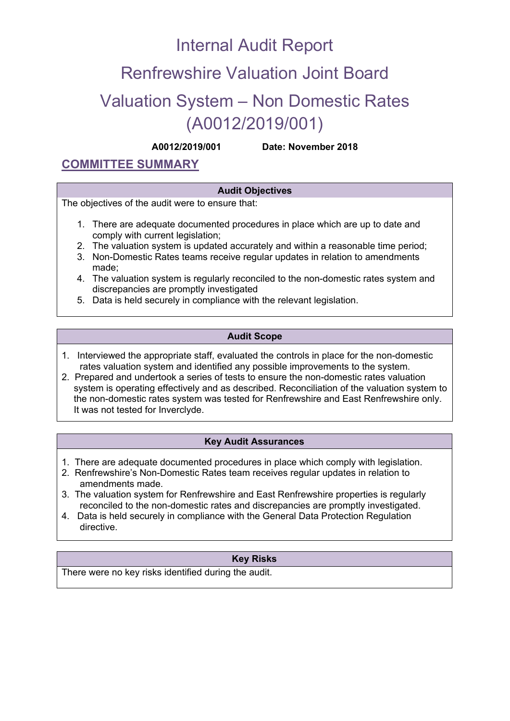# Internal Audit Report

# Renfrewshire Valuation Joint Board

# Valuation System – Non Domestic Rates (A0012/2019/001)

**A0012/2019/001 Date: November 2018**

### **COMMITTEE SUMMARY**

### **Audit Objectives**

The objectives of the audit were to ensure that:

- 1. There are adequate documented procedures in place which are up to date and comply with current legislation;
- 2. The valuation system is updated accurately and within a reasonable time period;
- 3. Non-Domestic Rates teams receive regular updates in relation to amendments made;
- 4. The valuation system is regularly reconciled to the non-domestic rates system and discrepancies are promptly investigated
- 5. Data is held securely in compliance with the relevant legislation.

### **Audit Scope**

- 1. Interviewed the appropriate staff, evaluated the controls in place for the non-domestic rates valuation system and identified any possible improvements to the system.
- 2. Prepared and undertook a series of tests to ensure the non-domestic rates valuation system is operating effectively and as described. Reconciliation of the valuation system to the non-domestic rates system was tested for Renfrewshire and East Renfrewshire only. It was not tested for Inverclyde.

#### **Key Audit Assurances**

- 1. There are adequate documented procedures in place which comply with legislation.
- 2. Renfrewshire's Non-Domestic Rates team receives regular updates in relation to amendments made.
- 3. The valuation system for Renfrewshire and East Renfrewshire properties is regularly reconciled to the non-domestic rates and discrepancies are promptly investigated.
- 4. Data is held securely in compliance with the General Data Protection Regulation directive.

### **Key Risks**

There were no key risks identified during the audit.